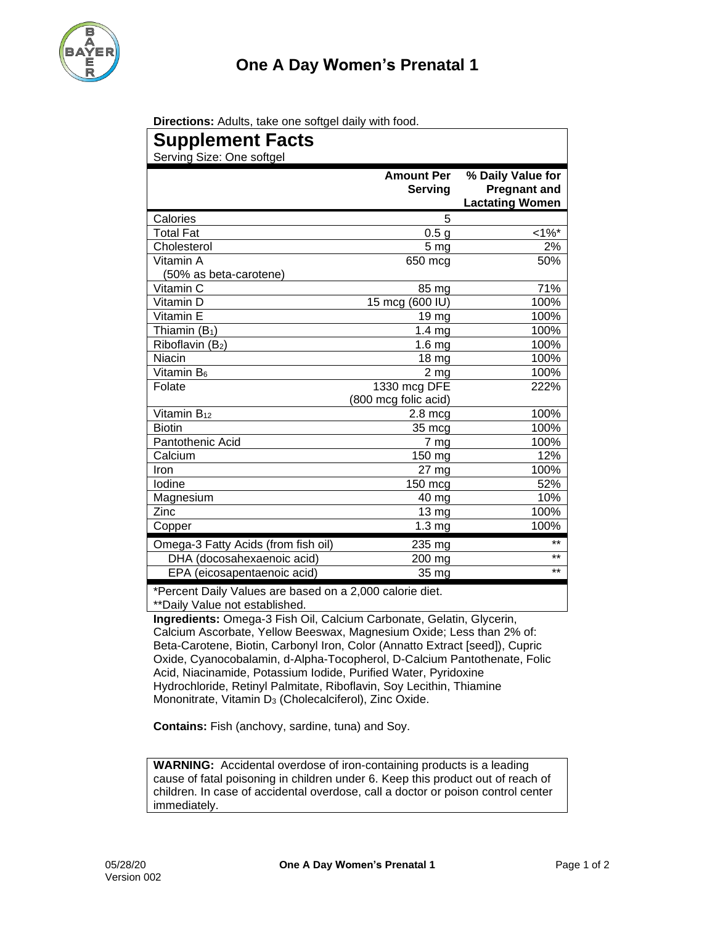

| Directions: Adults, take one softgel daily with food. |  |  |  |
|-------------------------------------------------------|--|--|--|
|-------------------------------------------------------|--|--|--|

| <b>Supplement Facts</b>                                            |                              |                                                                    |  |  |  |
|--------------------------------------------------------------------|------------------------------|--------------------------------------------------------------------|--|--|--|
| Serving Size: One softgel                                          |                              |                                                                    |  |  |  |
|                                                                    | <b>Amount Per</b><br>Serving | % Daily Value for<br><b>Pregnant and</b><br><b>Lactating Women</b> |  |  |  |
| Calories                                                           | 5                            |                                                                    |  |  |  |
| <b>Total Fat</b>                                                   | 0.5 <sub>g</sub>             | $<1\%$ *                                                           |  |  |  |
| Cholesterol                                                        | 5 <sub>mg</sub>              | 2%                                                                 |  |  |  |
| Vitamin A                                                          | 650 mcg                      | 50%                                                                |  |  |  |
| (50% as beta-carotene)                                             |                              |                                                                    |  |  |  |
| Vitamin C                                                          | 85 mg                        | 71%                                                                |  |  |  |
| Vitamin D                                                          | 15 mcg (600 IU)              | 100%                                                               |  |  |  |
| Vitamin E                                                          | 19 mg                        | 100%                                                               |  |  |  |
| Thiamin $(B_1)$                                                    | 1.4 <sub>mg</sub>            | 100%                                                               |  |  |  |
| Riboflavin (B2)                                                    | 1.6 <sub>mg</sub>            | 100%                                                               |  |  |  |
| Niacin                                                             | 18 <sub>mg</sub>             | 100%                                                               |  |  |  |
| Vitamin B <sub>6</sub>                                             | 2 <sub>mg</sub>              | 100%                                                               |  |  |  |
| Folate                                                             | 1330 mcg DFE                 | 222%                                                               |  |  |  |
|                                                                    | (800 mcg folic acid)         |                                                                    |  |  |  |
| Vitamin B <sub>12</sub>                                            | $2.8 \text{ mcg}$            | 100%                                                               |  |  |  |
| <b>Biotin</b>                                                      | 35 mcg                       | 100%                                                               |  |  |  |
| Pantothenic Acid                                                   | 7 mg                         | 100%                                                               |  |  |  |
| Calcium                                                            | 150 mg                       | 12%                                                                |  |  |  |
| Iron                                                               | 27 mg                        | 100%                                                               |  |  |  |
| Iodine                                                             | 150 mcg                      | 52%                                                                |  |  |  |
| Magnesium                                                          | 40 mg                        | 10%                                                                |  |  |  |
| Zinc                                                               | 13 mg                        | 100%                                                               |  |  |  |
| Copper                                                             | 1.3 <sub>mg</sub>            | 100%                                                               |  |  |  |
| Omega-3 Fatty Acids (from fish oil)                                | 235 mg                       | $***$                                                              |  |  |  |
| DHA (docosahexaenoic acid)                                         | 200 mg                       | $***$                                                              |  |  |  |
| EPA (eicosapentaenoic acid)                                        | 35 mg                        | $***$                                                              |  |  |  |
| $*Dessel$ and $Dell$ , $Vel$ , $Sel$ and $Sel$ and $Sel$ and $Sel$ |                              |                                                                    |  |  |  |

\*Percent Daily Values are based on a 2,000 calorie diet. \*\*Daily Value not established.

**Ingredients:** Omega-3 Fish Oil, Calcium Carbonate, Gelatin, Glycerin, Calcium Ascorbate, Yellow Beeswax, Magnesium Oxide; Less than 2% of: Beta-Carotene, Biotin, Carbonyl Iron, Color (Annatto Extract [seed]), Cupric Oxide, Cyanocobalamin, d-Alpha-Tocopherol, D-Calcium Pantothenate, Folic Acid, Niacinamide, Potassium Iodide, Purified Water, Pyridoxine Hydrochloride, Retinyl Palmitate, Riboflavin, Soy Lecithin, Thiamine Mononitrate, Vitamin D<sub>3</sub> (Cholecalciferol), Zinc Oxide.

**Contains:** Fish (anchovy, sardine, tuna) and Soy.

**WARNING:** Accidental overdose of iron-containing products is a leading cause of fatal poisoning in children under 6. Keep this product out of reach of children. In case of accidental overdose, call a doctor or poison control center immediately.